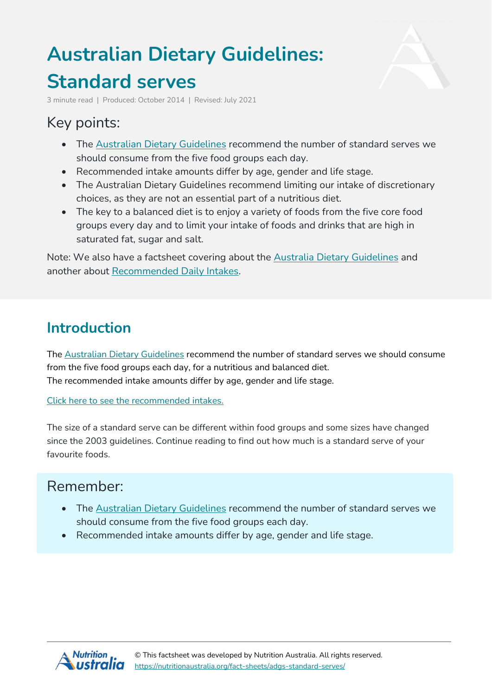# **Australian Dietary Guidelines: Standard serves**



3 minute read | Produced: October 2014 | Revised: July 2021

## Key points:

- The [Australian](https://nutritionaustralia.org/fact-sheets/adg-2013/) Dietary Guidelines recommend the number of standard serves we should consume from the five food groups each day.
- Recommended intake amounts differ by age, gender and life stage.
- The Australian Dietary Guidelines recommend limiting our intake of discretionary choices, as they are not an essential part of a nutritious diet.
- The key to a balanced diet is to enjoy a variety of foods from the five core food groups every day and to limit your intake of foods and drinks that are high in saturated fat, sugar and salt.

Note: We also have a factsheet covering about the Australia Dietary [Guidelines](https://nutritionaustralia.org/fact-sheets/adg-2013/) and another about [Recommended](https://nutritionaustralia.org/fact-sheets/adgs-recommended-daily-intakes/) Daily Intakes.

## **Introduction**

The Australian Dietary [Guidelines](https://nutritionaustralia.org/fact-sheets/adg-2013/) recommend the number of standard serves we should consume from the five food groups each day, for a nutritious and balanced diet. The recommended intake amounts differ by age, gender and life stage.

Click here to see the [recommended](https://nutritionaustralia.org/division/national/australian-dietary-guidelines-recommended-daily-intakes/) intakes.

The size of a standard serve can be different within food groups and some sizes have changed since the 2003 guidelines. Continue reading to find out how much is a standard serve of your favourite foods.

#### Remember:

- The Australian Dietary [Guidelines](https://nutritionaustralia.org/fact-sheets/adg-2013/) recommend the number of standard serves we should consume from the five food groups each day.
- Recommended intake amounts differ by age, gender and life stage.

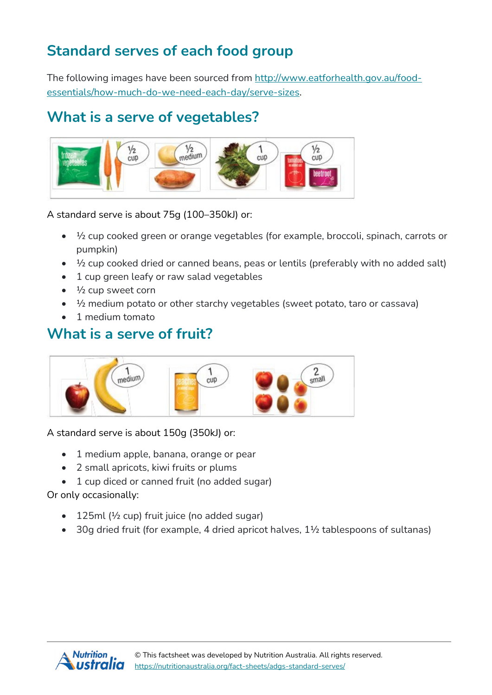## **Standard serves of each food group**

The following images have been sourced from [http://www.eatforhealth.gov.au/food](http://www.eatforhealth.gov.au/food-essentials/how-much-do-we-need-each-day/serve-sizes)[essentials/how-much-do-we-need-each-day/serve-sizes.](http://www.eatforhealth.gov.au/food-essentials/how-much-do-we-need-each-day/serve-sizes)

#### **What is a serve of vegetables?**



A standard serve is about 75g (100–350kJ) or:

- ½ cup cooked green or orange vegetables (for example, broccoli, spinach, carrots or pumpkin)
- $\bullet$   $\frac{1}{2}$  cup cooked dried or canned beans, peas or lentils (preferably with no added salt)
- 1 cup green leafy or raw salad vegetables
- $\bullet$   $\frac{1}{2}$  cup sweet corn
- $\frac{1}{2}$  medium potato or other starchy vegetables (sweet potato, taro or cassava)
- 1 medium tomato

#### **What is a serve of fruit?**



A standard serve is about 150g (350kJ) or:

- 1 medium apple, banana, orange or pear
- 2 small apricots, kiwi fruits or plums
- 1 cup diced or canned fruit (no added sugar)

Or only occasionally:

- 125ml ( $\frac{1}{2}$  cup) fruit juice (no added sugar)
- 30g dried fruit (for example, 4 dried apricot halves, 1<sup>1</sup>/<sub>2</sub> tablespoons of sultanas)

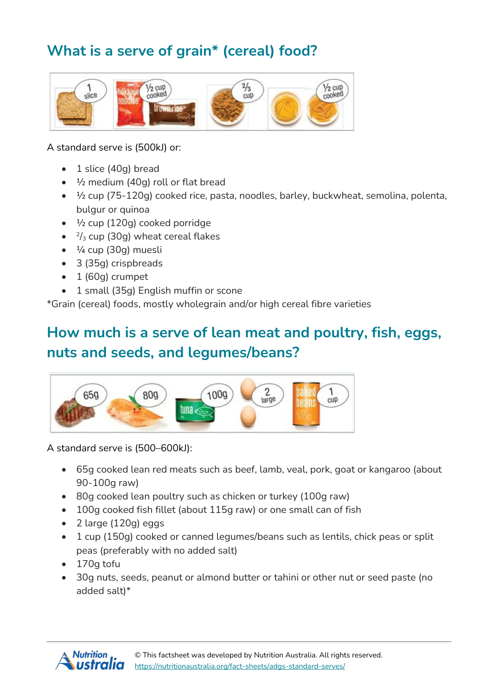# **What is a serve of grain\* (cereal) food?**



A standard serve is (500kJ) or:

- 1 slice (40g) bread
- $\bullet$   $\frac{1}{2}$  medium (40g) roll or flat bread
- ½ cup (75-120g) cooked rice, pasta, noodles, barley, buckwheat, semolina, polenta, bulgur or quinoa
- $\cdot$   $\frac{1}{2}$  cup (120g) cooked porridge
- $\cdot$   $\frac{2}{3}$  cup (30g) wheat cereal flakes
- ¼ cup (30g) muesli
- 3 (35g) crispbreads
- $\bullet$  1 (60g) crumpet
- 1 small (35g) English muffin or scone

\*Grain (cereal) foods, mostly wholegrain and/or high cereal fibre varieties

## **How much is a serve of lean meat and poultry, fish, eggs, nuts and seeds, and legumes/beans?**



A standard serve is (500–600kJ):

- 65g cooked lean red meats such as beef, lamb, veal, pork, goat or kangaroo (about 90-100g raw)
- 80g cooked lean poultry such as chicken or turkey (100g raw)
- 100g cooked fish fillet (about 115g raw) or one small can of fish
- 2 large (120g) eggs
- 1 cup (150g) cooked or canned legumes/beans such as lentils, chick peas or split peas (preferably with no added salt)
- 170g tofu
- 30g nuts, seeds, peanut or almond butter or tahini or other nut or seed paste (no added salt)\*

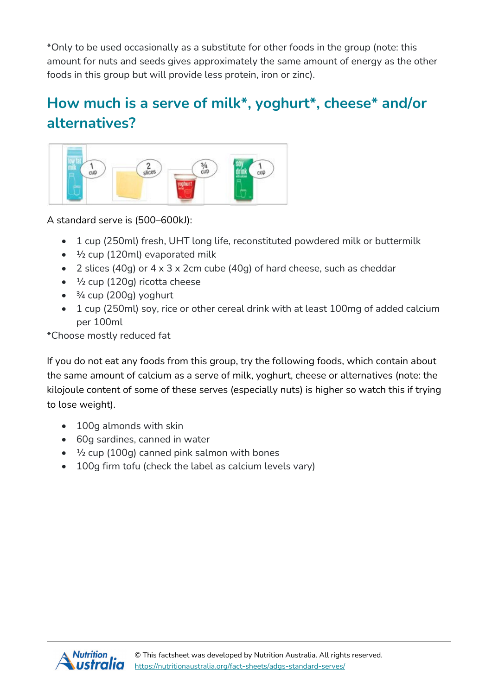\*Only to be used occasionally as a substitute for other foods in the group (note: this amount for nuts and seeds gives approximately the same amount of energy as the other foods in this group but will provide less protein, iron or zinc).

# **How much is a serve of milk\*, yoghurt\*, cheese\* and/or alternatives?**



A standard serve is (500–600kJ):

- 1 cup (250ml) fresh, UHT long life, reconstituted powdered milk or buttermilk
- $\bullet$   $\frac{1}{2}$  cup (120ml) evaporated milk
- 2 slices (40g) or 4 x 3 x 2cm cube (40g) of hard cheese, such as cheddar
- <sup>1/2</sup> cup (120g) ricotta cheese
- $\bullet$   $\frac{3}{4}$  cup (200g) yoghurt
- 1 cup (250ml) soy, rice or other cereal drink with at least 100mg of added calcium per 100ml

\*Choose mostly reduced fat

If you do not eat any foods from this group, try the following foods, which contain about the same amount of calcium as a serve of milk, yoghurt, cheese or alternatives (note: the kilojoule content of some of these serves (especially nuts) is higher so watch this if trying to lose weight).

- 100q almonds with skin
- 60g sardines, canned in water
- $\cdot$   $\frac{1}{2}$  cup (100g) canned pink salmon with bones
- 100g firm tofu (check the label as calcium levels vary)